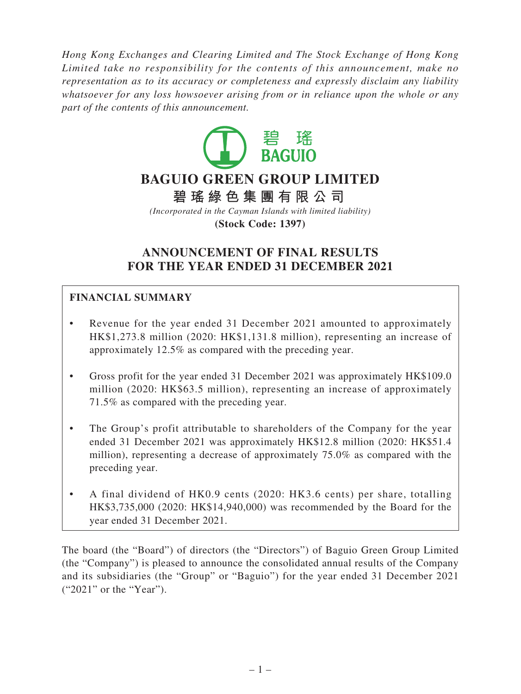*Hong Kong Exchanges and Clearing Limited and The Stock Exchange of Hong Kong Limited take no responsibility for the contents of this announcement, make no representation as to its accuracy or completeness and expressly disclaim any liability whatsoever for any loss howsoever arising from or in reliance upon the whole or any part of the contents of this announcement.*



# **ANNOUNCEMENT OF FINAL RESULTS FOR THE YEAR ENDED 31 DECEMBER 2021**

# **FINANCIAL SUMMARY**

- Revenue for the year ended 31 December 2021 amounted to approximately HK\$1,273.8 million (2020: HK\$1,131.8 million), representing an increase of approximately 12.5% as compared with the preceding year.
- Gross profit for the year ended 31 December 2021 was approximately HK\$109.0 million (2020: HK\$63.5 million), representing an increase of approximately 71.5% as compared with the preceding year.
- The Group's profit attributable to shareholders of the Company for the year ended 31 December 2021 was approximately HK\$12.8 million (2020: HK\$51.4 million), representing a decrease of approximately 75.0% as compared with the preceding year.
- A final dividend of HK0.9 cents (2020: HK3.6 cents) per share, totalling HK\$3,735,000 (2020: HK\$14,940,000) was recommended by the Board for the year ended 31 December 2021.

The board (the "Board") of directors (the "Directors") of Baguio Green Group Limited (the "Company") is pleased to announce the consolidated annual results of the Company and its subsidiaries (the "Group" or "Baguio") for the year ended 31 December 2021 ("2021" or the "Year").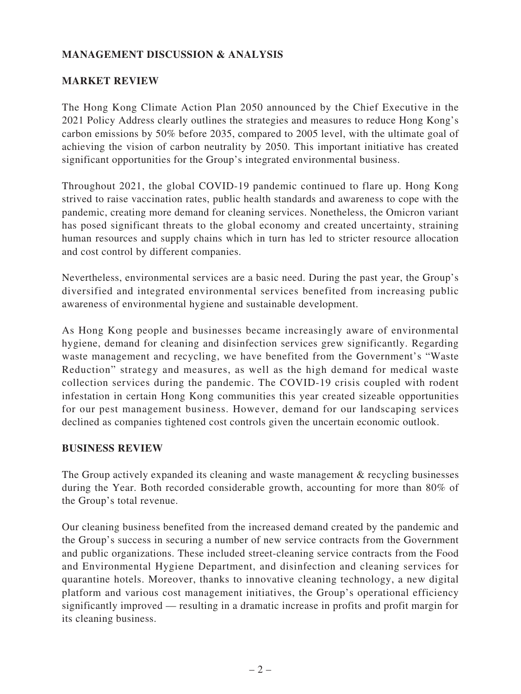# **MANAGEMENT DISCUSSION & ANALYSIS**

## **MARKET REVIEW**

The Hong Kong Climate Action Plan 2050 announced by the Chief Executive in the 2021 Policy Address clearly outlines the strategies and measures to reduce Hong Kong's carbon emissions by 50% before 2035, compared to 2005 level, with the ultimate goal of achieving the vision of carbon neutrality by 2050. This important initiative has created significant opportunities for the Group's integrated environmental business.

Throughout 2021, the global COVID-19 pandemic continued to flare up. Hong Kong strived to raise vaccination rates, public health standards and awareness to cope with the pandemic, creating more demand for cleaning services. Nonetheless, the Omicron variant has posed significant threats to the global economy and created uncertainty, straining human resources and supply chains which in turn has led to stricter resource allocation and cost control by different companies.

Nevertheless, environmental services are a basic need. During the past year, the Group's diversified and integrated environmental services benefited from increasing public awareness of environmental hygiene and sustainable development.

As Hong Kong people and businesses became increasingly aware of environmental hygiene, demand for cleaning and disinfection services grew significantly. Regarding waste management and recycling, we have benefited from the Government's "Waste Reduction" strategy and measures, as well as the high demand for medical waste collection services during the pandemic. The COVID-19 crisis coupled with rodent infestation in certain Hong Kong communities this year created sizeable opportunities for our pest management business. However, demand for our landscaping services declined as companies tightened cost controls given the uncertain economic outlook.

## **BUSINESS REVIEW**

The Group actively expanded its cleaning and waste management & recycling businesses during the Year. Both recorded considerable growth, accounting for more than 80% of the Group's total revenue.

Our cleaning business benefited from the increased demand created by the pandemic and the Group's success in securing a number of new service contracts from the Government and public organizations. These included street-cleaning service contracts from the Food and Environmental Hygiene Department, and disinfection and cleaning services for quarantine hotels. Moreover, thanks to innovative cleaning technology, a new digital platform and various cost management initiatives, the Group's operational efficiency significantly improved — resulting in a dramatic increase in profits and profit margin for its cleaning business.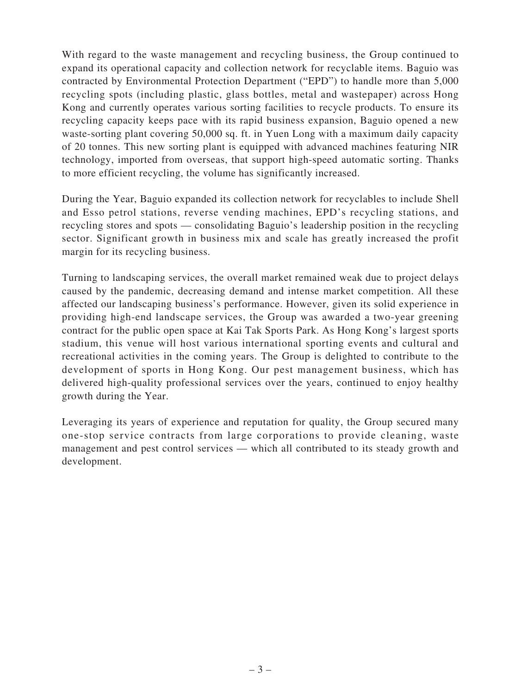With regard to the waste management and recycling business, the Group continued to expand its operational capacity and collection network for recyclable items. Baguio was contracted by Environmental Protection Department ("EPD") to handle more than 5,000 recycling spots (including plastic, glass bottles, metal and wastepaper) across Hong Kong and currently operates various sorting facilities to recycle products. To ensure its recycling capacity keeps pace with its rapid business expansion, Baguio opened a new waste-sorting plant covering 50,000 sq. ft. in Yuen Long with a maximum daily capacity of 20 tonnes. This new sorting plant is equipped with advanced machines featuring NIR technology, imported from overseas, that support high-speed automatic sorting. Thanks to more efficient recycling, the volume has significantly increased.

During the Year, Baguio expanded its collection network for recyclables to include Shell and Esso petrol stations, reverse vending machines, EPD's recycling stations, and recycling stores and spots — consolidating Baguio's leadership position in the recycling sector. Significant growth in business mix and scale has greatly increased the profit margin for its recycling business.

Turning to landscaping services, the overall market remained weak due to project delays caused by the pandemic, decreasing demand and intense market competition. All these affected our landscaping business's performance. However, given its solid experience in providing high-end landscape services, the Group was awarded a two-year greening contract for the public open space at Kai Tak Sports Park. As Hong Kong's largest sports stadium, this venue will host various international sporting events and cultural and recreational activities in the coming years. The Group is delighted to contribute to the development of sports in Hong Kong. Our pest management business, which has delivered high-quality professional services over the years, continued to enjoy healthy growth during the Year.

Leveraging its years of experience and reputation for quality, the Group secured many one-stop service contracts from large corporations to provide cleaning, waste management and pest control services — which all contributed to its steady growth and development.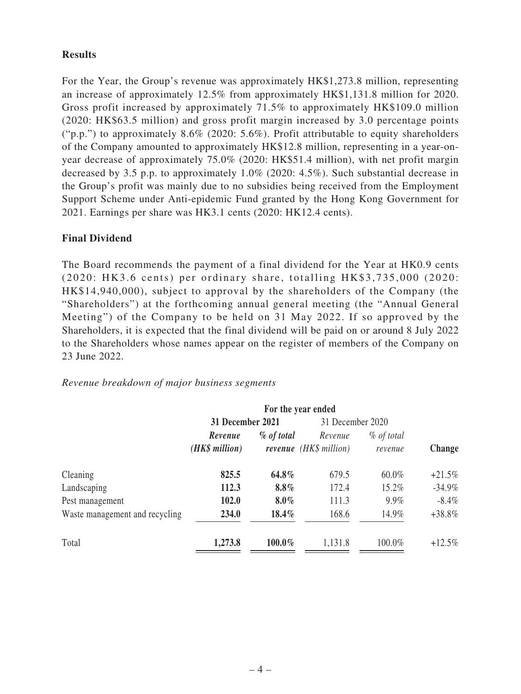## **Results**

For the Year, the Group's revenue was approximately HK\$1,273.8 million, representing an increase of approximately 12.5% from approximately HK\$1,131.8 million for 2020. Gross profit increased by approximately 71.5% to approximately HK\$109.0 million (2020: HK\$63.5 million) and gross profit margin increased by 3.0 percentage points ("p.p.") to approximately  $8.6\%$  (2020: 5.6%). Profit attributable to equity shareholders of the Company amounted to approximately HK\$12.8 million, representing in a year-onyear decrease of approximately 75.0% (2020: HK\$51.4 million), with net profit margin decreased by 3.5 p.p. to approximately 1.0% (2020: 4.5%). Such substantial decrease in the Group's profit was mainly due to no subsidies being received from the Employment Support Scheme under Anti-epidemic Fund granted by the Hong Kong Government for 2021. Earnings per share was HK3.1 cents (2020: HK12.4 cents).

## **Final Dividend**

The Board recommends the payment of a final dividend for the Year at HK0.9 cents (2020: HK3.6 cents) per ordinary share, totalling HK\$3,735,000 (2020: HK\$14,940,000), subject to approval by the shareholders of the Company (the "Shareholders") at the forthcoming annual general meeting (the "Annual General Meeting") of the Company to be held on  $31$  May 2022. If so approved by the Shareholders, it is expected that the final dividend will be paid on or around 8 July 2022 to the Shareholders whose names appear on the register of members of the Company on 23 June 2022.

## *Revenue breakdown of major business segments*

|                                | For the year ended      |           |                        |              |               |  |
|--------------------------------|-------------------------|-----------|------------------------|--------------|---------------|--|
|                                | <b>31 December 2021</b> |           | 31 December 2020       |              |               |  |
|                                | $%$ of total<br>Revenue |           | Revenue                | $%$ of total |               |  |
|                                | (HK\$ million)          |           | revenue (HK\$ million) | revenue      | <b>Change</b> |  |
| Cleaning                       | 825.5                   | 64.8%     | 679.5                  | 60.0%        | $+21.5%$      |  |
| Landscaping                    | 112.3                   | $8.8\%$   | 172.4                  | 15.2%        | $-34.9%$      |  |
| Pest management                | 102.0                   | $8.0\%$   | 111.3                  | 9.9%         | $-8.4\%$      |  |
| Waste management and recycling | 234.0                   | 18.4%     | 168.6                  | 14.9%        | $+38.8\%$     |  |
| Total                          | 1,273.8                 | $100.0\%$ | 1,131.8                | 100.0%       | $+12.5%$      |  |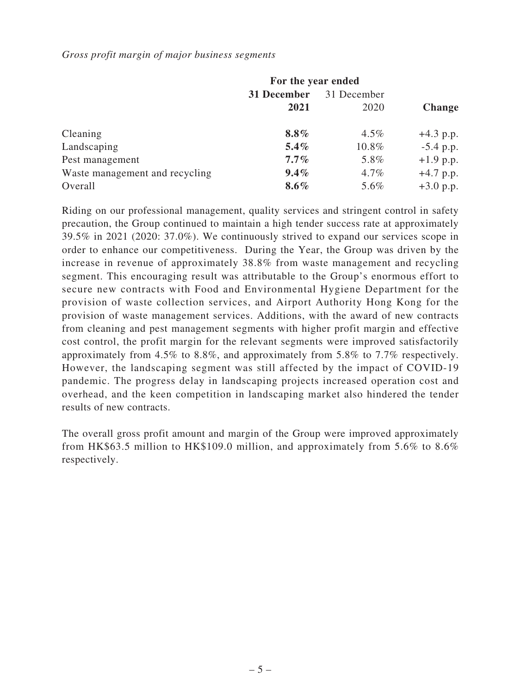### *Gross profit margin of major business segments*

|                                | For the year ended |             |               |  |  |
|--------------------------------|--------------------|-------------|---------------|--|--|
|                                | 31 December        | 31 December |               |  |  |
|                                | 2021               | 2020        | <b>Change</b> |  |  |
| Cleaning                       | $8.8\%$            | $4.5\%$     | $+4.3$ p.p.   |  |  |
| Landscaping                    | $5.4\%$            | 10.8%       | $-5.4$ p.p.   |  |  |
| Pest management                | $7.7\%$            | 5.8%        | $+1.9$ p.p.   |  |  |
| Waste management and recycling | $9.4\%$            | $4.7\%$     | $+4.7$ p.p.   |  |  |
| Overall                        | $8.6\%$            | 5.6%        | $+3.0$ p.p.   |  |  |

Riding on our professional management, quality services and stringent control in safety precaution, the Group continued to maintain a high tender success rate at approximately 39.5% in 2021 (2020: 37.0%). We continuously strived to expand our services scope in order to enhance our competitiveness. During the Year, the Group was driven by the increase in revenue of approximately 38.8% from waste management and recycling segment. This encouraging result was attributable to the Group's enormous effort to secure new contracts with Food and Environmental Hygiene Department for the provision of waste collection services, and Airport Authority Hong Kong for the provision of waste management services. Additions, with the award of new contracts from cleaning and pest management segments with higher profit margin and effective cost control, the profit margin for the relevant segments were improved satisfactorily approximately from 4.5% to 8.8%, and approximately from 5.8% to 7.7% respectively. However, the landscaping segment was still affected by the impact of COVID-19 pandemic. The progress delay in landscaping projects increased operation cost and overhead, and the keen competition in landscaping market also hindered the tender results of new contracts.

The overall gross profit amount and margin of the Group were improved approximately from HK\$63.5 million to HK\$109.0 million, and approximately from 5.6% to 8.6% respectively.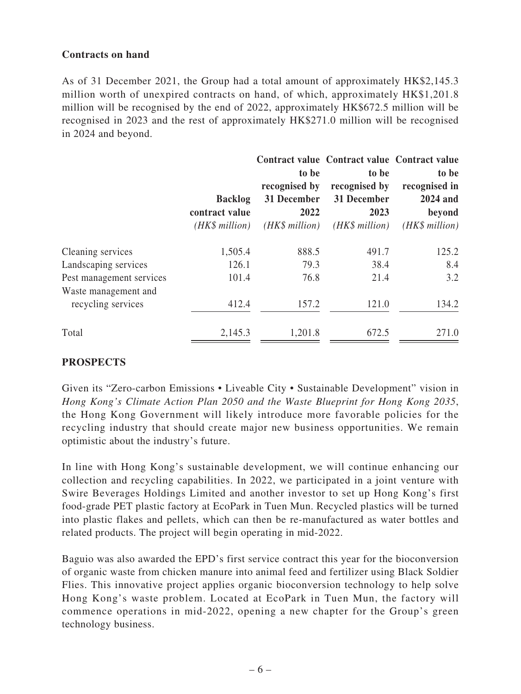## **Contracts on hand**

As of 31 December 2021, the Group had a total amount of approximately HK\$2,145.3 million worth of unexpired contracts on hand, of which, approximately HK\$1,201.8 million will be recognised by the end of 2022, approximately HK\$672.5 million will be recognised in 2023 and the rest of approximately HK\$271.0 million will be recognised in 2024 and beyond.

|                          |                 |                               | Contract value Contract value Contract value |                 |
|--------------------------|-----------------|-------------------------------|----------------------------------------------|-----------------|
|                          |                 | to be                         | to be                                        | to be           |
|                          |                 | recognised by                 | recognised by                                | recognised in   |
|                          | <b>Backlog</b>  | 31 December                   | 31 December                                  | 2024 and        |
|                          | contract value  | 2022                          | 2023                                         | beyond          |
|                          | $(HK\$ million) | $(HK\$ <sup>million</sup> $)$ | $(HK\$ million)                              | $(HK\$ million) |
| Cleaning services        | 1,505.4         | 888.5                         | 491.7                                        | 125.2           |
| Landscaping services     | 126.1           | 79.3                          | 38.4                                         | 8.4             |
| Pest management services | 101.4           | 76.8                          | 21.4                                         | 3.2             |
| Waste management and     |                 |                               |                                              |                 |
| recycling services       | 412.4           | 157.2                         | 121.0                                        | 134.2           |
| Total                    | 2,145.3         | 1,201.8                       | 672.5                                        | 271.0           |

# **PROSPECTS**

Given its "Zero-carbon Emissions • Liveable City • Sustainable Development" vision in *Hong Kong's Climate Action Plan 2050 and the Waste Blueprint for Hong Kong 2035*, the Hong Kong Government will likely introduce more favorable policies for the recycling industry that should create major new business opportunities. We remain optimistic about the industry's future.

In line with Hong Kong's sustainable development, we will continue enhancing our collection and recycling capabilities. In 2022, we participated in a joint venture with Swire Beverages Holdings Limited and another investor to set up Hong Kong's first food-grade PET plastic factory at EcoPark in Tuen Mun. Recycled plastics will be turned into plastic flakes and pellets, which can then be re-manufactured as water bottles and related products. The project will begin operating in mid-2022.

Baguio was also awarded the EPD's first service contract this year for the bioconversion of organic waste from chicken manure into animal feed and fertilizer using Black Soldier Flies. This innovative project applies organic bioconversion technology to help solve Hong Kong's waste problem. Located at EcoPark in Tuen Mun, the factory will commence operations in mid-2022, opening a new chapter for the Group's green technology business.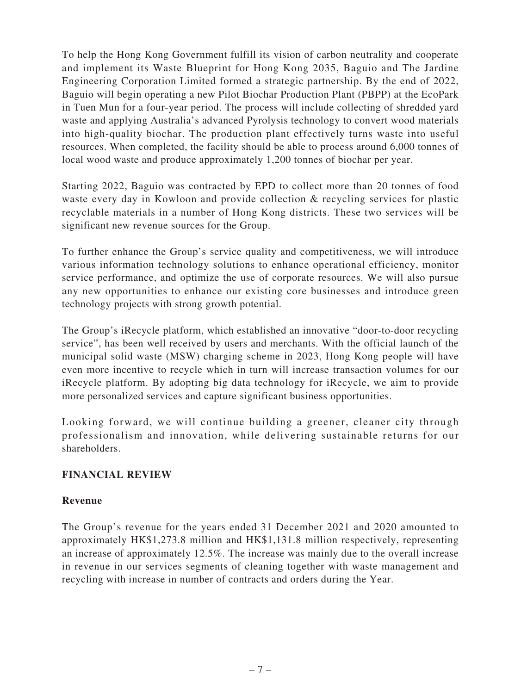To help the Hong Kong Government fulfill its vision of carbon neutrality and cooperate and implement its Waste Blueprint for Hong Kong 2035, Baguio and The Jardine Engineering Corporation Limited formed a strategic partnership. By the end of 2022, Baguio will begin operating a new Pilot Biochar Production Plant (PBPP) at the EcoPark in Tuen Mun for a four-year period. The process will include collecting of shredded yard waste and applying Australia's advanced Pyrolysis technology to convert wood materials into high-quality biochar. The production plant effectively turns waste into useful resources. When completed, the facility should be able to process around 6,000 tonnes of local wood waste and produce approximately 1,200 tonnes of biochar per year.

Starting 2022, Baguio was contracted by EPD to collect more than 20 tonnes of food waste every day in Kowloon and provide collection & recycling services for plastic recyclable materials in a number of Hong Kong districts. These two services will be significant new revenue sources for the Group.

To further enhance the Group's service quality and competitiveness, we will introduce various information technology solutions to enhance operational efficiency, monitor service performance, and optimize the use of corporate resources. We will also pursue any new opportunities to enhance our existing core businesses and introduce green technology projects with strong growth potential.

The Group's iRecycle platform, which established an innovative "door-to-door recycling service", has been well received by users and merchants. With the official launch of the municipal solid waste (MSW) charging scheme in 2023, Hong Kong people will have even more incentive to recycle which in turn will increase transaction volumes for our iRecycle platform. By adopting big data technology for iRecycle, we aim to provide more personalized services and capture significant business opportunities.

Looking forward, we will continue building a greener, cleaner city through professionalism and innovation, while delivering sustainable returns for our shareholders.

## **FINANCIAL REVIEW**

## **Revenue**

The Group's revenue for the years ended 31 December 2021 and 2020 amounted to approximately HK\$1,273.8 million and HK\$1,131.8 million respectively, representing an increase of approximately 12.5%. The increase was mainly due to the overall increase in revenue in our services segments of cleaning together with waste management and recycling with increase in number of contracts and orders during the Year.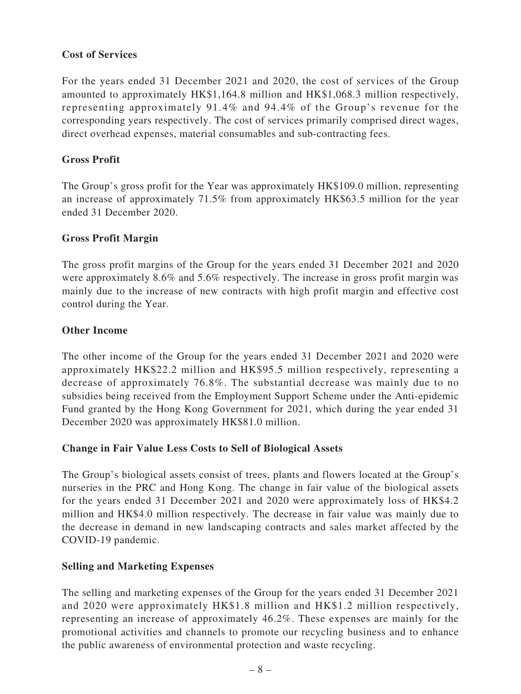## **Cost of Services**

For the years ended 31 December 2021 and 2020, the cost of services of the Group amounted to approximately HK\$1,164.8 million and HK\$1,068.3 million respectively, representing approximately  $91.4\%$  and  $94.4\%$  of the Group's revenue for the corresponding years respectively. The cost of services primarily comprised direct wages, direct overhead expenses, material consumables and sub-contracting fees.

## **Gross Profit**

The Group's gross profit for the Year was approximately HK\$109.0 million, representing an increase of approximately 71.5% from approximately HK\$63.5 million for the year ended 31 December 2020.

## **Gross Profit Margin**

The gross profit margins of the Group for the years ended 31 December 2021 and 2020 were approximately 8.6% and 5.6% respectively. The increase in gross profit margin was mainly due to the increase of new contracts with high profit margin and effective cost control during the Year.

## **Other Income**

The other income of the Group for the years ended 31 December 2021 and 2020 were approximately HK\$22.2 million and HK\$95.5 million respectively, representing a decrease of approximately 76.8%. The substantial decrease was mainly due to no subsidies being received from the Employment Support Scheme under the Anti-epidemic Fund granted by the Hong Kong Government for 2021, which during the year ended 31 December 2020 was approximately HK\$81.0 million.

## **Change in Fair Value Less Costs to Sell of Biological Assets**

The Group's biological assets consist of trees, plants and flowers located at the Group's nurseries in the PRC and Hong Kong. The change in fair value of the biological assets for the years ended 31 December 2021 and 2020 were approximately loss of HK\$4.2 million and HK\$4.0 million respectively. The decrease in fair value was mainly due to the decrease in demand in new landscaping contracts and sales market affected by the COVID-19 pandemic.

## **Selling and Marketing Expenses**

The selling and marketing expenses of the Group for the years ended 31 December 2021 and 2020 were approximately HK\$1.8 million and HK\$1.2 million respectively, representing an increase of approximately 46.2%. These expenses are mainly for the promotional activities and channels to promote our recycling business and to enhance the public awareness of environmental protection and waste recycling.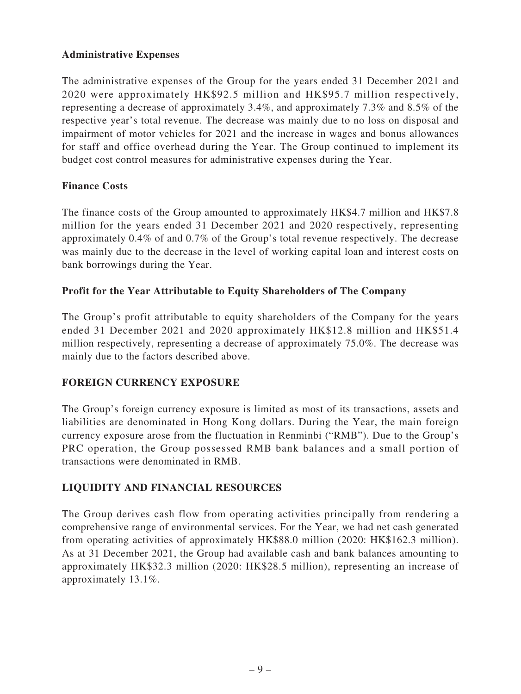# **Administrative Expenses**

The administrative expenses of the Group for the years ended 31 December 2021 and 2020 were approximately HK\$92.5 million and HK\$95.7 million respectively, representing a decrease of approximately 3.4%, and approximately 7.3% and 8.5% of the respective year's total revenue. The decrease was mainly due to no loss on disposal and impairment of motor vehicles for 2021 and the increase in wages and bonus allowances for staff and office overhead during the Year. The Group continued to implement its budget cost control measures for administrative expenses during the Year.

## **Finance Costs**

The finance costs of the Group amounted to approximately HK\$4.7 million and HK\$7.8 million for the years ended 31 December 2021 and 2020 respectively, representing approximately 0.4% of and 0.7% of the Group's total revenue respectively. The decrease was mainly due to the decrease in the level of working capital loan and interest costs on bank borrowings during the Year.

## **Profit for the Year Attributable to Equity Shareholders of The Company**

The Group's profit attributable to equity shareholders of the Company for the years ended 31 December 2021 and 2020 approximately HK\$12.8 million and HK\$51.4 million respectively, representing a decrease of approximately 75.0%. The decrease was mainly due to the factors described above.

# **FOREIGN CURRENCY EXPOSURE**

The Group's foreign currency exposure is limited as most of its transactions, assets and liabilities are denominated in Hong Kong dollars. During the Year, the main foreign currency exposure arose from the fluctuation in Renminbi ("RMB"). Due to the Group's PRC operation, the Group possessed RMB bank balances and a small portion of transactions were denominated in RMB.

# **LIQUIDITY AND FINANCIAL RESOURCES**

The Group derives cash flow from operating activities principally from rendering a comprehensive range of environmental services. For the Year, we had net cash generated from operating activities of approximately HK\$88.0 million (2020: HK\$162.3 million). As at 31 December 2021, the Group had available cash and bank balances amounting to approximately HK\$32.3 million (2020: HK\$28.5 million), representing an increase of approximately 13.1%.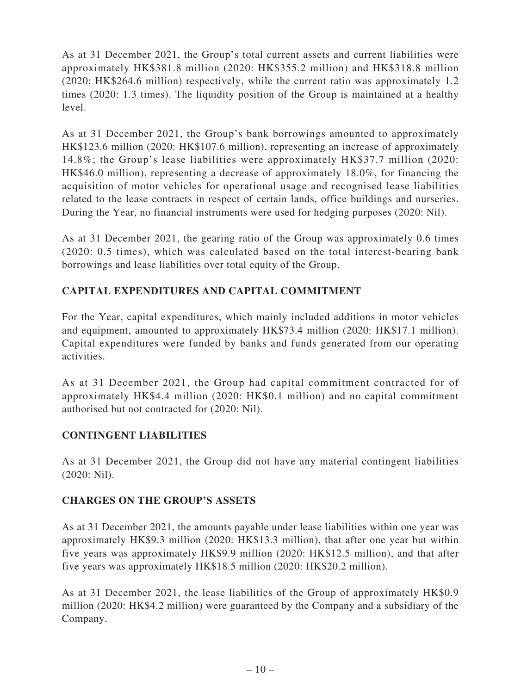As at 31 December 2021, the Group's total current assets and current liabilities were approximately HK\$381.8 million (2020: HK\$355.2 million) and HK\$318.8 million (2020: HK\$264.6 million) respectively, while the current ratio was approximately 1.2 times (2020: 1.3 times). The liquidity position of the Group is maintained at a healthy level.

As at 31 December 2021, the Group's bank borrowings amounted to approximately HK\$123.6 million (2020: HK\$107.6 million), representing an increase of approximately 14.8%; the Group's lease liabilities were approximately HK\$37.7 million (2020: HK\$46.0 million), representing a decrease of approximately 18.0%, for financing the acquisition of motor vehicles for operational usage and recognised lease liabilities related to the lease contracts in respect of certain lands, office buildings and nurseries. During the Year, no financial instruments were used for hedging purposes (2020: Nil).

As at 31 December 2021, the gearing ratio of the Group was approximately 0.6 times (2020: 0.5 times), which was calculated based on the total interest-bearing bank borrowings and lease liabilities over total equity of the Group.

# **CAPITAL EXPENDITURES AND CAPITAL COMMITMENT**

For the Year, capital expenditures, which mainly included additions in motor vehicles and equipment, amounted to approximately HK\$73.4 million (2020: HK\$17.1 million). Capital expenditures were funded by banks and funds generated from our operating activities.

As at 31 December 2021, the Group had capital commitment contracted for of approximately HK\$4.4 million (2020: HK\$0.1 million) and no capital commitment authorised but not contracted for (2020: Nil).

# **CONTINGENT LIABILITIES**

As at 31 December 2021, the Group did not have any material contingent liabilities (2020: Nil).

# **CHARGES ON THE GROUP'S ASSETS**

As at 31 December 2021, the amounts payable under lease liabilities within one year was approximately HK\$9.3 million (2020: HK\$13.3 million), that after one year but within five years was approximately HK\$9.9 million (2020: HK\$12.5 million), and that after five years was approximately HK\$18.5 million (2020: HK\$20.2 million).

As at 31 December 2021, the lease liabilities of the Group of approximately HK\$0.9 million (2020: HK\$4.2 million) were guaranteed by the Company and a subsidiary of the Company.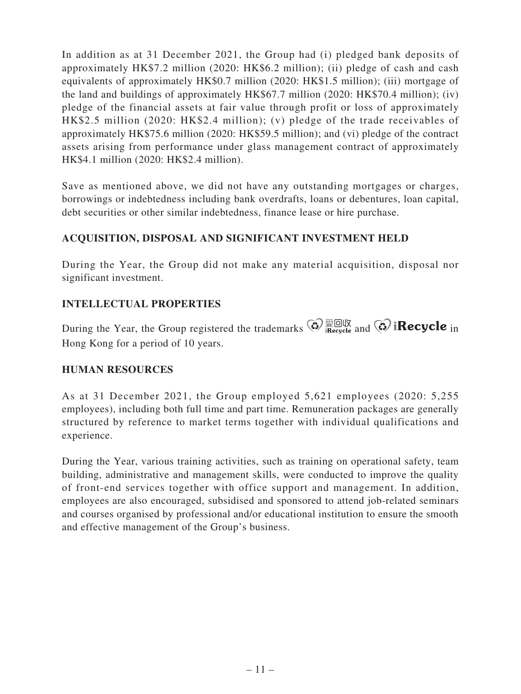In addition as at 31 December 2021, the Group had (i) pledged bank deposits of approximately HK\$7.2 million (2020: HK\$6.2 million); (ii) pledge of cash and cash equivalents of approximately HK\$0.7 million (2020: HK\$1.5 million); (iii) mortgage of the land and buildings of approximately HK\$67.7 million (2020: HK\$70.4 million); (iv) pledge of the financial assets at fair value through profit or loss of approximately HK\$2.5 million (2020: HK\$2.4 million); (v) pledge of the trade receivables of approximately HK\$75.6 million (2020: HK\$59.5 million); and (vi) pledge of the contract assets arising from performance under glass management contract of approximately HK\$4.1 million (2020: HK\$2.4 million).

Save as mentioned above, we did not have any outstanding mortgages or charges, borrowings or indebtedness including bank overdrafts, loans or debentures, loan capital, debt securities or other similar indebtedness, finance lease or hire purchase.

# **ACQUISITION, DISPOSAL AND SIGNIFICANT INVESTMENT HELD**

During the Year, the Group did not make any material acquisition, disposal nor significant investment.

## **INTELLECTUAL PROPERTIES**

During the Year, the Group registered the trademarks  $\bigotimes_{\text{inecycle}} \overline{\bigotimes_{\text{all}}} \bigotimes_{\text{all}} \bigotimes_{\text{il}} \text{Recycle}$  in Hong Kong for a period of 10 years.

## **HUMAN RESOURCES**

As at 31 December 2021, the Group employed 5,621 employees (2020: 5,255 employees), including both full time and part time. Remuneration packages are generally structured by reference to market terms together with individual qualifications and experience.

During the Year, various training activities, such as training on operational safety, team building, administrative and management skills, were conducted to improve the quality of front-end services together with office support and management. In addition, employees are also encouraged, subsidised and sponsored to attend job-related seminars and courses organised by professional and/or educational institution to ensure the smooth and effective management of the Group's business.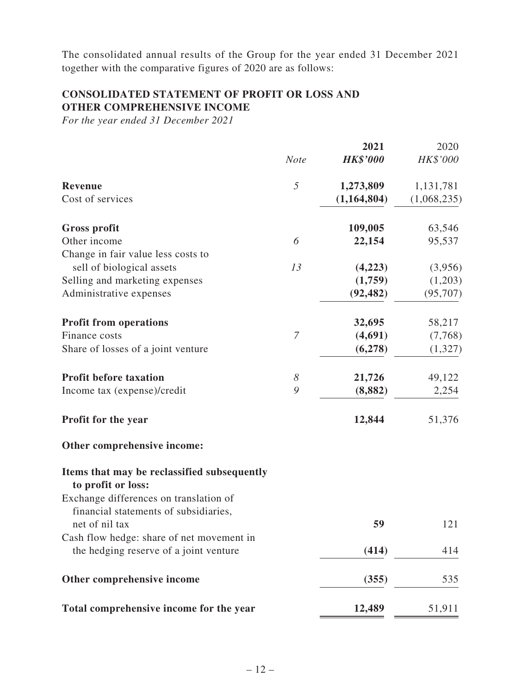The consolidated annual results of the Group for the year ended 31 December 2021 together with the comparative figures of 2020 are as follows:

## **CONSOLIDATED STATEMENT OF PROFIT OR LOSS AND OTHER COMPREHENSIVE INCOME**

*For the year ended 31 December 2021*

|                                                                                                   |             | 2021            | 2020        |
|---------------------------------------------------------------------------------------------------|-------------|-----------------|-------------|
|                                                                                                   | <b>Note</b> | <b>HK\$'000</b> | HK\$'000    |
| <b>Revenue</b>                                                                                    | 5           | 1,273,809       | 1,131,781   |
| Cost of services                                                                                  |             | (1,164,804)     | (1,068,235) |
| <b>Gross profit</b>                                                                               |             | 109,005         | 63,546      |
| Other income                                                                                      | 6           | 22,154          | 95,537      |
| Change in fair value less costs to                                                                |             |                 |             |
| sell of biological assets                                                                         | 13          | (4,223)         | (3,956)     |
| Selling and marketing expenses                                                                    |             | (1,759)         | (1,203)     |
| Administrative expenses                                                                           |             | (92, 482)       | (95, 707)   |
| <b>Profit from operations</b>                                                                     |             | 32,695          | 58,217      |
| Finance costs                                                                                     | 7           | (4,691)         | (7,768)     |
| Share of losses of a joint venture                                                                |             | (6,278)         | (1,327)     |
| <b>Profit before taxation</b>                                                                     | $\delta$    | 21,726          | 49,122      |
| Income tax (expense)/credit                                                                       | 9           | (8, 882)        | 2,254       |
| Profit for the year                                                                               |             | 12,844          | 51,376      |
| Other comprehensive income:                                                                       |             |                 |             |
| Items that may be reclassified subsequently<br>to profit or loss:                                 |             |                 |             |
| Exchange differences on translation of<br>financial statements of subsidiaries,<br>net of nil tax |             | 59              | 121         |
| Cash flow hedge: share of net movement in                                                         |             |                 |             |
| the hedging reserve of a joint venture                                                            |             | (414)           | 414         |
| Other comprehensive income                                                                        |             | (355)           | 535         |
| Total comprehensive income for the year                                                           |             | 12,489          | 51,911      |
|                                                                                                   |             |                 |             |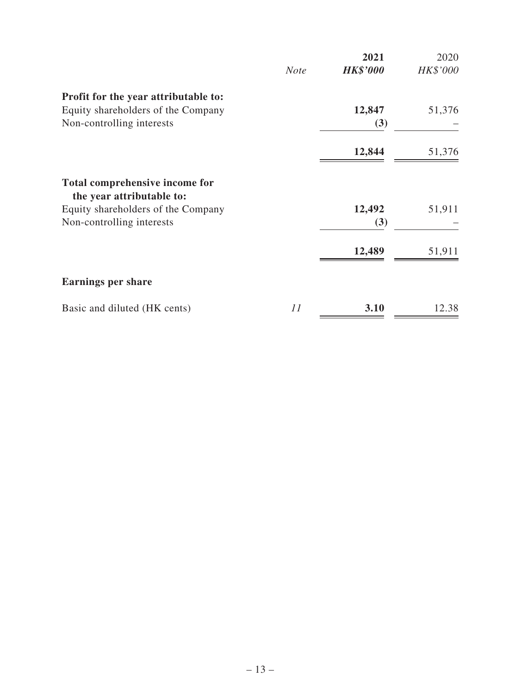|                                                                                                                                | <b>Note</b> | 2021<br><b>HK\$'000</b> | 2020<br>HK\$'000 |
|--------------------------------------------------------------------------------------------------------------------------------|-------------|-------------------------|------------------|
| Profit for the year attributable to:<br>Equity shareholders of the Company<br>Non-controlling interests                        |             | 12,847<br>(3)           | 51,376           |
|                                                                                                                                |             | 12,844                  | 51,376           |
| Total comprehensive income for<br>the year attributable to:<br>Equity shareholders of the Company<br>Non-controlling interests |             | 12,492<br>(3)           | 51,911           |
|                                                                                                                                |             | 12,489                  | 51,911           |
| <b>Earnings per share</b>                                                                                                      |             |                         |                  |
| Basic and diluted (HK cents)                                                                                                   | 11          | 3.10                    | 12.38            |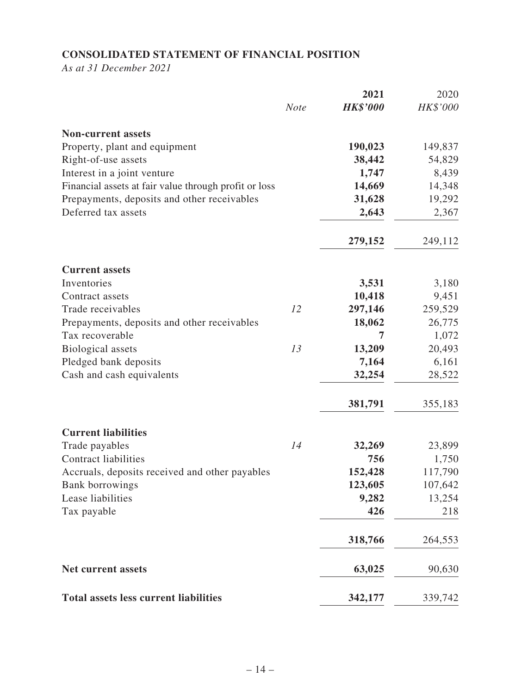# **CONSOLIDATED STATEMENT OF FINANCIAL POSITION**

*As at 31 December 2021*

|                                                       | <b>Note</b> | 2021<br><b>HK\$'000</b> | 2020<br>HK\$'000 |
|-------------------------------------------------------|-------------|-------------------------|------------------|
|                                                       |             |                         |                  |
| <b>Non-current assets</b>                             |             |                         |                  |
| Property, plant and equipment                         |             | 190,023                 | 149,837          |
| Right-of-use assets                                   |             | 38,442                  | 54,829           |
| Interest in a joint venture                           |             | 1,747                   | 8,439            |
| Financial assets at fair value through profit or loss |             | 14,669                  | 14,348           |
| Prepayments, deposits and other receivables           |             | 31,628                  | 19,292           |
| Deferred tax assets                                   |             | 2,643                   | 2,367            |
|                                                       |             | 279,152                 | 249,112          |
| <b>Current assets</b>                                 |             |                         |                  |
| Inventories                                           |             | 3,531                   | 3,180            |
| Contract assets                                       |             | 10,418                  | 9,451            |
| Trade receivables                                     | 12          | 297,146                 | 259,529          |
| Prepayments, deposits and other receivables           |             | 18,062                  | 26,775           |
| Tax recoverable                                       |             | 7                       | 1,072            |
| <b>Biological</b> assets                              | 13          | 13,209                  | 20,493           |
| Pledged bank deposits                                 |             | 7,164                   | 6,161            |
| Cash and cash equivalents                             |             | 32,254                  | 28,522           |
|                                                       |             | 381,791                 | 355,183          |
| <b>Current liabilities</b>                            |             |                         |                  |
| Trade payables                                        | 14          | 32,269                  | 23,899           |
| <b>Contract liabilities</b>                           |             | 756                     | 1,750            |
| Accruals, deposits received and other payables        |             | 152,428                 | 117,790          |
| <b>Bank borrowings</b>                                |             | 123,605                 | 107,642          |
| Lease liabilities                                     |             | 9,282                   | 13,254           |
| Tax payable                                           |             | 426                     | 218              |
|                                                       |             | 318,766                 | 264,553          |
| <b>Net current assets</b>                             |             | 63,025                  | 90,630           |
| <b>Total assets less current liabilities</b>          |             | 342,177                 | 339,742          |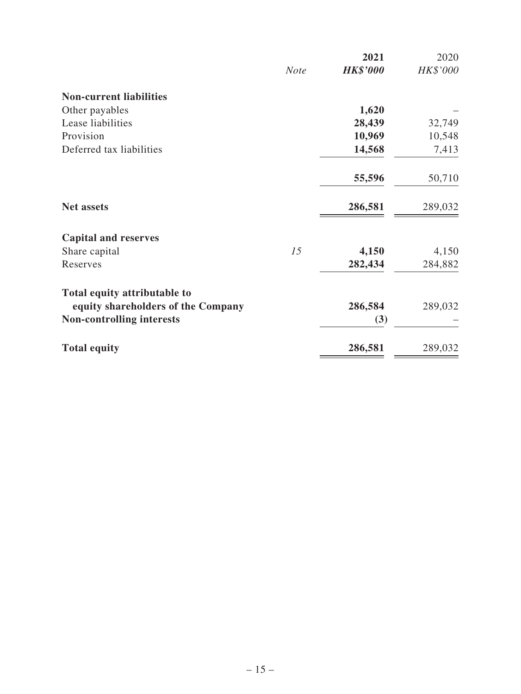|                                    |             | 2021            | 2020     |
|------------------------------------|-------------|-----------------|----------|
|                                    | <b>Note</b> | <b>HK\$'000</b> | HK\$'000 |
| <b>Non-current liabilities</b>     |             |                 |          |
| Other payables                     |             | 1,620           |          |
| Lease liabilities                  |             | 28,439          | 32,749   |
| Provision                          |             | 10,969          | 10,548   |
| Deferred tax liabilities           |             | 14,568          | 7,413    |
|                                    |             | 55,596          | 50,710   |
| <b>Net assets</b>                  |             | 286,581         | 289,032  |
| <b>Capital and reserves</b>        |             |                 |          |
| Share capital                      | 15          | 4,150           | 4,150    |
| Reserves                           |             | 282,434         | 284,882  |
| Total equity attributable to       |             |                 |          |
| equity shareholders of the Company |             | 286,584         | 289,032  |
| <b>Non-controlling interests</b>   |             | (3)             |          |
| <b>Total equity</b>                |             | 286,581         | 289,032  |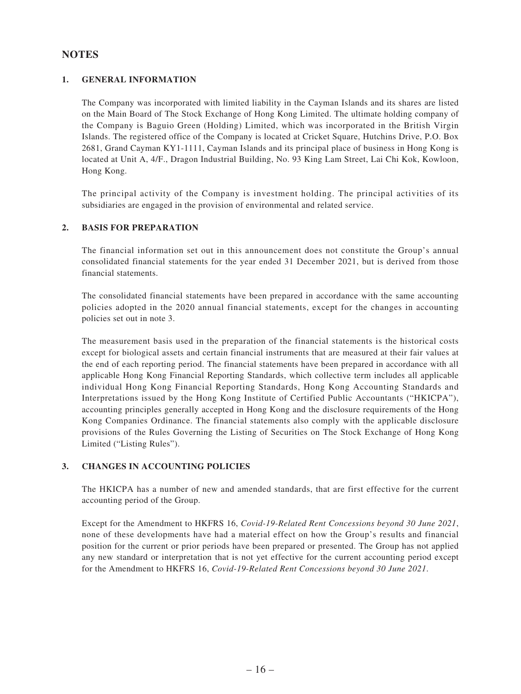### **NOTES**

### **1. GENERAL INFORMATION**

The Company was incorporated with limited liability in the Cayman Islands and its shares are listed on the Main Board of The Stock Exchange of Hong Kong Limited. The ultimate holding company of the Company is Baguio Green (Holding) Limited, which was incorporated in the British Virgin Islands. The registered office of the Company is located at Cricket Square, Hutchins Drive, P.O. Box 2681, Grand Cayman KY1-1111, Cayman Islands and its principal place of business in Hong Kong is located at Unit A, 4/F., Dragon Industrial Building, No. 93 King Lam Street, Lai Chi Kok, Kowloon, Hong Kong.

The principal activity of the Company is investment holding. The principal activities of its subsidiaries are engaged in the provision of environmental and related service.

### **2. BASIS FOR PREPARATION**

The financial information set out in this announcement does not constitute the Group's annual consolidated financial statements for the year ended 31 December 2021, but is derived from those financial statements.

The consolidated financial statements have been prepared in accordance with the same accounting policies adopted in the 2020 annual financial statements, except for the changes in accounting policies set out in note 3.

The measurement basis used in the preparation of the financial statements is the historical costs except for biological assets and certain financial instruments that are measured at their fair values at the end of each reporting period. The financial statements have been prepared in accordance with all applicable Hong Kong Financial Reporting Standards, which collective term includes all applicable individual Hong Kong Financial Reporting Standards, Hong Kong Accounting Standards and Interpretations issued by the Hong Kong Institute of Certified Public Accountants ("HKICPA"), accounting principles generally accepted in Hong Kong and the disclosure requirements of the Hong Kong Companies Ordinance. The financial statements also comply with the applicable disclosure provisions of the Rules Governing the Listing of Securities on The Stock Exchange of Hong Kong Limited ("Listing Rules").

#### **3. CHANGES IN ACCOUNTING POLICIES**

The HKICPA has a number of new and amended standards, that are first effective for the current accounting period of the Group.

Except for the Amendment to HKFRS 16, *Covid-19-Related Rent Concessions beyond 30 June 2021*, none of these developments have had a material effect on how the Group's results and financial position for the current or prior periods have been prepared or presented. The Group has not applied any new standard or interpretation that is not yet effective for the current accounting period except for the Amendment to HKFRS 16, *Covid-19-Related Rent Concessions beyond 30 June 2021*.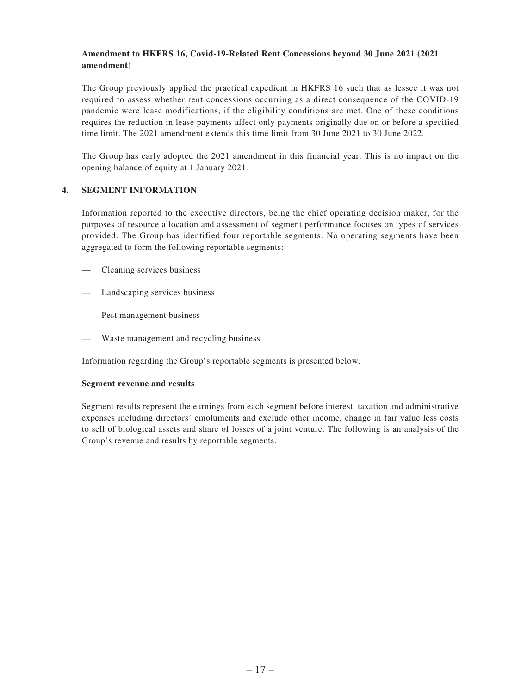### **Amendment to HKFRS 16, Covid-19-Related Rent Concessions beyond 30 June 2021 (2021 amendment)**

The Group previously applied the practical expedient in HKFRS 16 such that as lessee it was not required to assess whether rent concessions occurring as a direct consequence of the COVID-19 pandemic were lease modifications, if the eligibility conditions are met. One of these conditions requires the reduction in lease payments affect only payments originally due on or before a specified time limit. The 2021 amendment extends this time limit from 30 June 2021 to 30 June 2022.

The Group has early adopted the 2021 amendment in this financial year. This is no impact on the opening balance of equity at 1 January 2021.

### **4. SEGMENT INFORMATION**

Information reported to the executive directors, being the chief operating decision maker, for the purposes of resource allocation and assessment of segment performance focuses on types of services provided. The Group has identified four reportable segments. No operating segments have been aggregated to form the following reportable segments:

- Cleaning services business
- Landscaping services business
- — Pest management business
- Waste management and recycling business

Information regarding the Group's reportable segments is presented below.

#### **Segment revenue and results**

Segment results represent the earnings from each segment before interest, taxation and administrative expenses including directors' emoluments and exclude other income, change in fair value less costs to sell of biological assets and share of losses of a joint venture. The following is an analysis of the Group's revenue and results by reportable segments.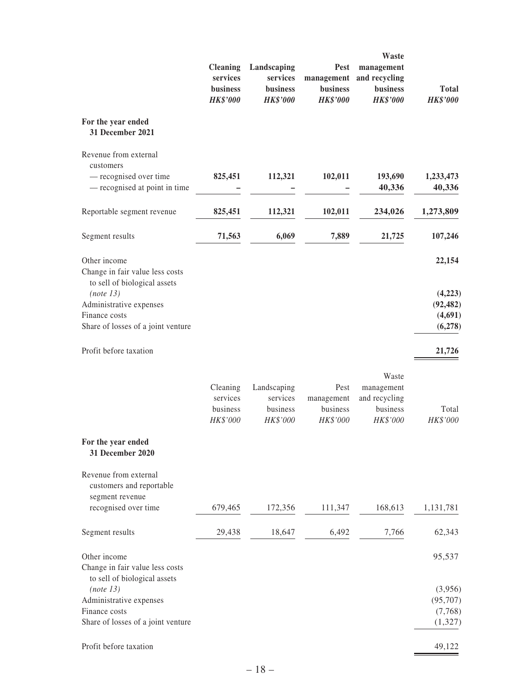|                                                                                               | <b>Cleaning</b><br>services<br>business<br><b>HK\$'000</b> | Landscaping<br>services<br>business<br><b>HK\$'000</b> | Pest<br>management<br>business<br><b>HK\$'000</b> | Waste<br>management<br>and recycling<br><b>business</b><br><b>HK\$'000</b> | <b>Total</b><br><b>HK\$'000</b>            |
|-----------------------------------------------------------------------------------------------|------------------------------------------------------------|--------------------------------------------------------|---------------------------------------------------|----------------------------------------------------------------------------|--------------------------------------------|
| For the year ended<br>31 December 2021                                                        |                                                            |                                                        |                                                   |                                                                            |                                            |
| Revenue from external<br>customers<br>- recognised over time<br>- recognised at point in time | 825,451                                                    | 112,321                                                | 102,011                                           | 193,690<br>40,336                                                          | 1,233,473<br>40,336                        |
| Reportable segment revenue                                                                    | 825,451                                                    | 112,321                                                | 102,011                                           | 234,026                                                                    | 1,273,809                                  |
| Segment results                                                                               | 71,563                                                     | 6,069                                                  | 7,889                                             | 21,725                                                                     | 107,246                                    |
| Other income<br>Change in fair value less costs<br>to sell of biological assets               |                                                            |                                                        |                                                   |                                                                            | 22,154                                     |
| (note 13)<br>Administrative expenses<br>Finance costs<br>Share of losses of a joint venture   |                                                            |                                                        |                                                   |                                                                            | (4,223)<br>(92, 482)<br>(4,691)<br>(6,278) |
| Profit before taxation                                                                        |                                                            |                                                        |                                                   |                                                                            | 21,726                                     |
|                                                                                               | Cleaning<br>services<br>business<br>HK\$'000               | Landscaping<br>services<br>business<br>HK\$'000        | Pest<br>management<br>business<br>HK\$'000        | Waste<br>management<br>and recycling<br>business<br>HK\$'000               | Total<br>HK\$'000                          |
| For the year ended<br>31 December 2020                                                        |                                                            |                                                        |                                                   |                                                                            |                                            |
| Revenue from external<br>customers and reportable<br>segment revenue<br>recognised over time  | 679,465                                                    | 172,356                                                | 111,347                                           | 168,613                                                                    | 1,131,781                                  |
| Segment results                                                                               | 29,438                                                     | 18,647                                                 | 6,492                                             | 7,766                                                                      | 62,343                                     |
| Other income<br>Change in fair value less costs<br>to sell of biological assets               |                                                            |                                                        |                                                   |                                                                            | 95,537                                     |
| (note 13)                                                                                     |                                                            |                                                        |                                                   |                                                                            | (3,956)                                    |
| Administrative expenses                                                                       |                                                            |                                                        |                                                   |                                                                            | (95, 707)                                  |
| Finance costs<br>Share of losses of a joint venture                                           |                                                            |                                                        |                                                   |                                                                            | (7,768)<br>(1,327)                         |
| Profit before taxation                                                                        |                                                            |                                                        |                                                   |                                                                            | 49,122                                     |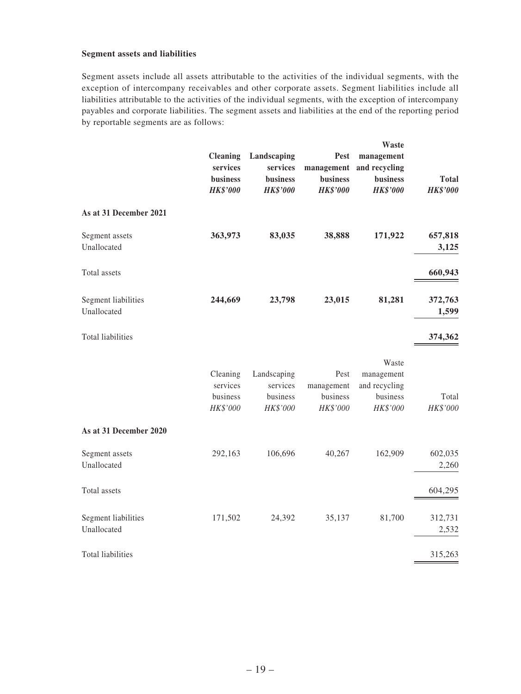### **Segment assets and liabilities**

Segment assets include all assets attributable to the activities of the individual segments, with the exception of intercompany receivables and other corporate assets. Segment liabilities include all liabilities attributable to the activities of the individual segments, with the exception of intercompany payables and corporate liabilities. The segment assets and liabilities at the end of the reporting period by reportable segments are as follows:

|                                    | <b>Cleaning</b><br>services<br>business<br><b>HK\$'000</b> | Landscaping<br>services<br>business<br><b>HK\$'000</b> | <b>Pest</b><br>management<br>business<br><b>HK\$'000</b> | Waste<br>management<br>and recycling<br>business<br><b>HK\$'000</b> | <b>Total</b><br><b>HK\$'000</b> |
|------------------------------------|------------------------------------------------------------|--------------------------------------------------------|----------------------------------------------------------|---------------------------------------------------------------------|---------------------------------|
| As at 31 December 2021             |                                                            |                                                        |                                                          |                                                                     |                                 |
| Segment assets<br>Unallocated      | 363,973                                                    | 83,035                                                 | 38,888                                                   | 171,922                                                             | 657,818<br>3,125                |
| Total assets                       |                                                            |                                                        |                                                          |                                                                     | 660,943                         |
| Segment liabilities<br>Unallocated | 244,669                                                    | 23,798                                                 | 23,015                                                   | 81,281                                                              | 372,763<br>1,599                |
| <b>Total liabilities</b>           |                                                            |                                                        |                                                          |                                                                     | 374,362                         |
|                                    | Cleaning<br>services<br>business<br>HK\$'000               | Landscaping<br>services<br>business<br>HK\$'000        | Pest<br>management<br>business<br>HK\$'000               | Waste<br>management<br>and recycling<br>business<br>HK\$'000        | Total<br>HK\$'000               |
| As at 31 December 2020             |                                                            |                                                        |                                                          |                                                                     |                                 |
| Segment assets<br>Unallocated      | 292,163                                                    | 106,696                                                | 40,267                                                   | 162,909                                                             | 602,035<br>2,260                |
| Total assets                       |                                                            |                                                        |                                                          |                                                                     | 604,295                         |
| Segment liabilities<br>Unallocated | 171,502                                                    | 24,392                                                 | 35,137                                                   | 81,700                                                              | 312,731<br>2,532                |
| Total liabilities                  |                                                            |                                                        |                                                          |                                                                     | 315,263                         |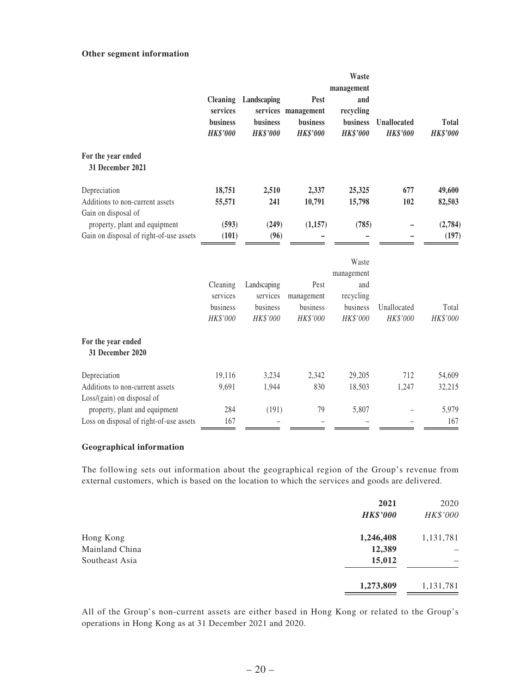### **Other segment information**

|                                                               |                 |                 |                     | Waste             |                    |                 |
|---------------------------------------------------------------|-----------------|-----------------|---------------------|-------------------|--------------------|-----------------|
|                                                               | <b>Cleaning</b> | Landscaping     | Pest                | management<br>and |                    |                 |
|                                                               | services        |                 | services management | recycling         |                    |                 |
|                                                               | business        | business        | business            | business          | <b>Unallocated</b> | <b>Total</b>    |
|                                                               | <b>HK\$'000</b> | <b>HK\$'000</b> | <b>HK\$'000</b>     | <b>HK\$'000</b>   | <b>HK\$'000</b>    | <b>HK\$'000</b> |
| For the year ended<br>31 December 2021                        |                 |                 |                     |                   |                    |                 |
| Depreciation                                                  | 18,751          | 2,510           | 2,337               | 25,325            | 677                | 49,600          |
| Additions to non-current assets                               | 55,571          | 241             | 10,791              | 15,798            | 102                | 82,503          |
| Gain on disposal of                                           |                 |                 |                     |                   |                    |                 |
| property, plant and equipment                                 | (593)           | (249)           | (1,157)             | (785)             |                    | (2,784)         |
| Gain on disposal of right-of-use assets                       | (101)           | (96)            |                     |                   |                    | (197)           |
|                                                               |                 |                 |                     | Waste             |                    |                 |
|                                                               |                 |                 |                     | management        |                    |                 |
|                                                               | Cleaning        | Landscaping     | Pest                | and               |                    |                 |
|                                                               | services        | services        | management          | recycling         |                    |                 |
|                                                               | business        | business        | business            | business          | Unallocated        | Total           |
|                                                               | HK\$'000        | HK\$'000        | HK\$'000            | HK\$'000          | HK\$'000           | HK\$'000        |
| For the year ended<br>31 December 2020                        |                 |                 |                     |                   |                    |                 |
| Depreciation                                                  | 19,116          | 3,234           | 2,342               | 29,205            | 712                | 54,609          |
| Additions to non-current assets<br>Loss/(gain) on disposal of | 9,691           | 1,944           | 830                 | 18,503            | 1,247              | 32,215          |
| property, plant and equipment                                 | 284             | (191)           | 79                  | 5,807             |                    | 5,979           |
| Loss on disposal of right-of-use assets                       | 167             |                 |                     |                   |                    | 167             |

#### **Geographical information**

The following sets out information about the geographical region of the Group's revenue from external customers, which is based on the location to which the services and goods are delivered.

| 2021<br><b>HK\$'000</b> | 2020<br>HK\$'000 |
|-------------------------|------------------|
| 1,246,408               | 1,131,781        |
| 12,389                  |                  |
| 15,012                  |                  |
| 1,273,809               | 1,131,781        |
|                         |                  |

All of the Group's non-current assets are either based in Hong Kong or related to the Group's operations in Hong Kong as at 31 December 2021 and 2020.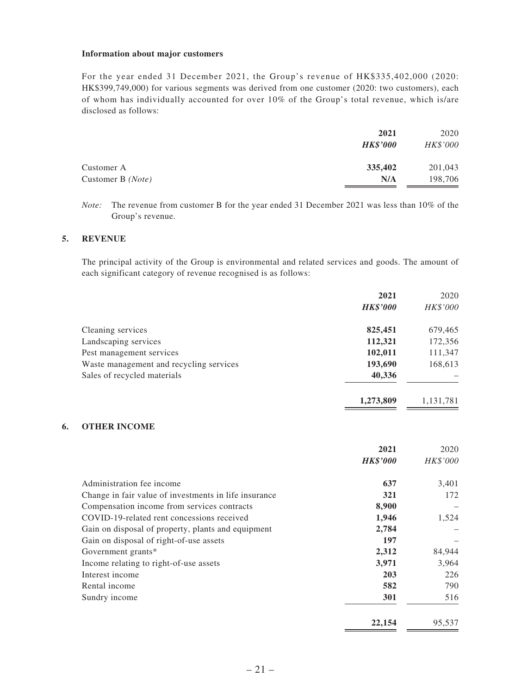#### **Information about major customers**

For the year ended 31 December 2021, the Group's revenue of HK\$335,402,000 (2020: HK\$399,749,000) for various segments was derived from one customer (2020: two customers), each of whom has individually accounted for over 10% of the Group's total revenue, which is/are disclosed as follows:

|                   | 2021            | 2020     |
|-------------------|-----------------|----------|
|                   | <b>HK\$'000</b> | HK\$'000 |
| Customer A        | 335,402         | 201,043  |
| Customer B (Note) | N/A             | 198,706  |
|                   |                 |          |

*Note:* The revenue from customer B for the year ended 31 December 2021 was less than 10% of the Group's revenue.

#### **5. REVENUE**

The principal activity of the Group is environmental and related services and goods. The amount of each significant category of revenue recognised is as follows:

|                                         | 2021            | 2020      |
|-----------------------------------------|-----------------|-----------|
|                                         | <b>HK\$'000</b> | HK\$'000  |
| Cleaning services                       | 825,451         | 679,465   |
| Landscaping services                    | 112,321         | 172,356   |
| Pest management services                | 102,011         | 111,347   |
| Waste management and recycling services | 193,690         | 168,613   |
| Sales of recycled materials             | 40,336          |           |
|                                         | 1,273,809       | 1,131,781 |

### **6. OTHER INCOME**

|                                                       | 2021            | 2020     |
|-------------------------------------------------------|-----------------|----------|
|                                                       | <b>HK\$'000</b> | HK\$'000 |
| Administration fee income                             | 637             | 3,401    |
| Change in fair value of investments in life insurance | 321             | 172      |
| Compensation income from services contracts           | 8,900           |          |
| COVID-19-related rent concessions received            | 1,946           | 1,524    |
| Gain on disposal of property, plants and equipment    | 2,784           |          |
| Gain on disposal of right-of-use assets               | 197             |          |
| Government grants*                                    | 2,312           | 84,944   |
| Income relating to right-of-use assets                | 3,971           | 3,964    |
| Interest income                                       | 203             | 226      |
| Rental income                                         | 582             | 790      |
| Sundry income                                         | 301             | 516      |
|                                                       | 22,154          | 95.537   |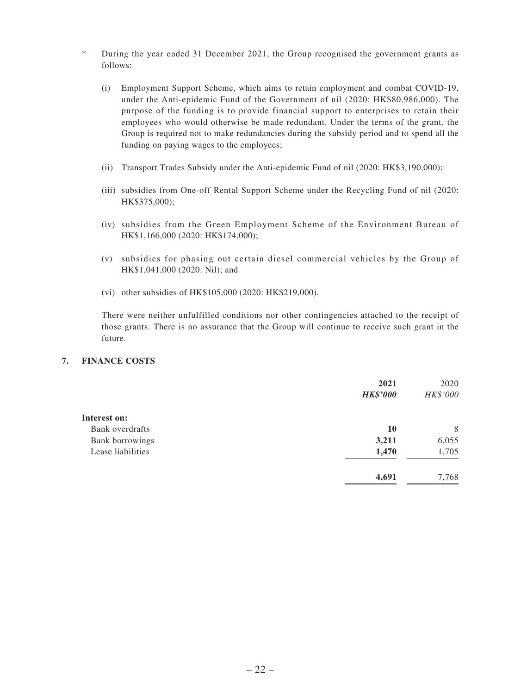- \* During the year ended 31 December 2021, the Group recognised the government grants as follows:
	- (i) Employment Support Scheme, which aims to retain employment and combat COVID-19, under the Anti-epidemic Fund of the Government of nil (2020: HK\$80,986,000). The purpose of the funding is to provide financial support to enterprises to retain their employees who would otherwise be made redundant. Under the terms of the grant, the Group is required not to make redundancies during the subsidy period and to spend all the funding on paying wages to the employees;
	- (ii) Transport Trades Subsidy under the Anti-epidemic Fund of nil (2020: HK\$3,190,000);
	- (iii) subsidies from One-off Rental Support Scheme under the Recycling Fund of nil (2020: HK\$375,000);
	- (iv) subsidies from the Green Employment Scheme of the Environment Bureau of HK\$1,166,000 (2020: HK\$174,000);
	- (v) subsidies for phasing out certain diesel commercial vehicles by the Group of HK\$1,041,000 (2020: Nil); and
	- (vi) other subsidies of HK\$105,000 (2020: HK\$219,000).

There were neither unfulfilled conditions nor other contingencies attached to the receipt of those grants. There is no assurance that the Group will continue to receive such grant in the future.

### **7. FINANCE COSTS**

|                   | 2021<br><b>HK\$'000</b> | 2020<br>HK\$'000 |
|-------------------|-------------------------|------------------|
| Interest on:      |                         |                  |
| Bank overdrafts   | 10                      | 8                |
| Bank borrowings   | 3,211                   | 6,055            |
| Lease liabilities | 1,470                   | 1,705            |
|                   | 4,691                   | 7,768            |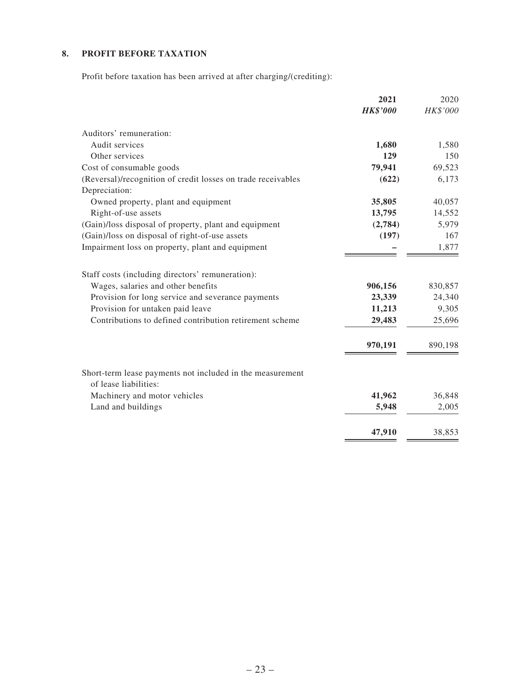## **8. PROFIT BEFORE TAXATION**

Profit before taxation has been arrived at after charging/(crediting):

|                                                                                    | 2021            | 2020     |
|------------------------------------------------------------------------------------|-----------------|----------|
|                                                                                    | <b>HK\$'000</b> | HK\$'000 |
| Auditors' remuneration:                                                            |                 |          |
| Audit services                                                                     | 1,680           | 1,580    |
| Other services                                                                     | 129             | 150      |
| Cost of consumable goods                                                           | 79,941          | 69,523   |
| (Reversal)/recognition of credit losses on trade receivables<br>Depreciation:      | (622)           | 6,173    |
| Owned property, plant and equipment                                                | 35,805          | 40,057   |
| Right-of-use assets                                                                | 13,795          | 14,552   |
| (Gain)/loss disposal of property, plant and equipment                              | (2,784)         | 5,979    |
| (Gain)/loss on disposal of right-of-use assets                                     | (197)           | 167      |
| Impairment loss on property, plant and equipment                                   |                 | 1,877    |
| Staff costs (including directors' remuneration):                                   |                 |          |
| Wages, salaries and other benefits                                                 | 906,156         | 830,857  |
| Provision for long service and severance payments                                  | 23,339          | 24,340   |
| Provision for untaken paid leave                                                   | 11,213          | 9,305    |
| Contributions to defined contribution retirement scheme                            | 29,483          | 25,696   |
|                                                                                    | 970,191         | 890,198  |
| Short-term lease payments not included in the measurement<br>of lease liabilities: |                 |          |
| Machinery and motor vehicles                                                       | 41,962          | 36,848   |
| Land and buildings                                                                 | 5,948           | 2,005    |
|                                                                                    |                 |          |
|                                                                                    | 47,910          | 38,853   |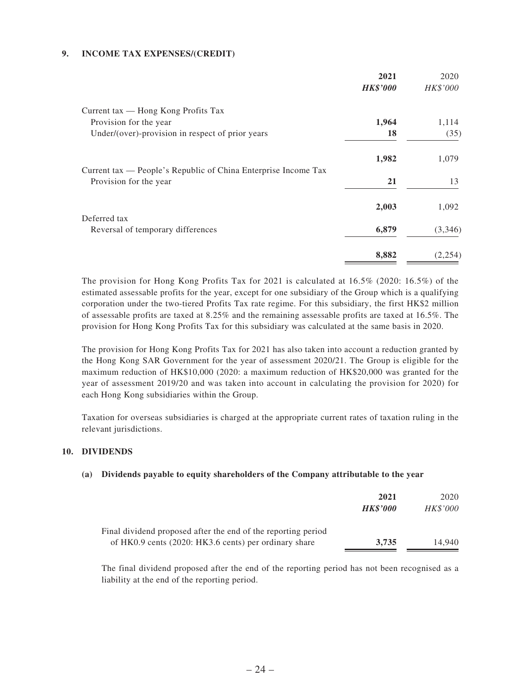### **9. INCOME TAX EXPENSES/(CREDIT)**

| 2021            | 2020     |
|-----------------|----------|
| <b>HK\$'000</b> | HK\$'000 |
|                 |          |
| 1,964           | 1,114    |
| 18              | (35)     |
| 1,982           | 1,079    |
|                 |          |
| 21              | 13       |
| 2,003           | 1,092    |
|                 |          |
| 6,879           | (3,346)  |
| 8,882           | (2,254)  |
|                 |          |

The provision for Hong Kong Profits Tax for 2021 is calculated at 16.5% (2020: 16.5%) of the estimated assessable profits for the year, except for one subsidiary of the Group which is a qualifying corporation under the two-tiered Profits Tax rate regime. For this subsidiary, the first HK\$2 million of assessable profits are taxed at 8.25% and the remaining assessable profits are taxed at 16.5%. The provision for Hong Kong Profits Tax for this subsidiary was calculated at the same basis in 2020.

The provision for Hong Kong Profits Tax for 2021 has also taken into account a reduction granted by the Hong Kong SAR Government for the year of assessment 2020/21. The Group is eligible for the maximum reduction of HK\$10,000 (2020: a maximum reduction of HK\$20,000 was granted for the year of assessment 2019/20 and was taken into account in calculating the provision for 2020) for each Hong Kong subsidiaries within the Group.

Taxation for overseas subsidiaries is charged at the appropriate current rates of taxation ruling in the relevant jurisdictions.

#### **10. DIVIDENDS**

#### **(a) Dividends payable to equity shareholders of the Company attributable to the year**

|                                                                                                                        | 2021<br><b>HK\$'000</b> | 2020<br><b>HK\$'000</b> |
|------------------------------------------------------------------------------------------------------------------------|-------------------------|-------------------------|
| Final dividend proposed after the end of the reporting period<br>of HK0.9 cents (2020: HK3.6 cents) per ordinary share | 3.735                   | 14.940                  |

The final dividend proposed after the end of the reporting period has not been recognised as a liability at the end of the reporting period.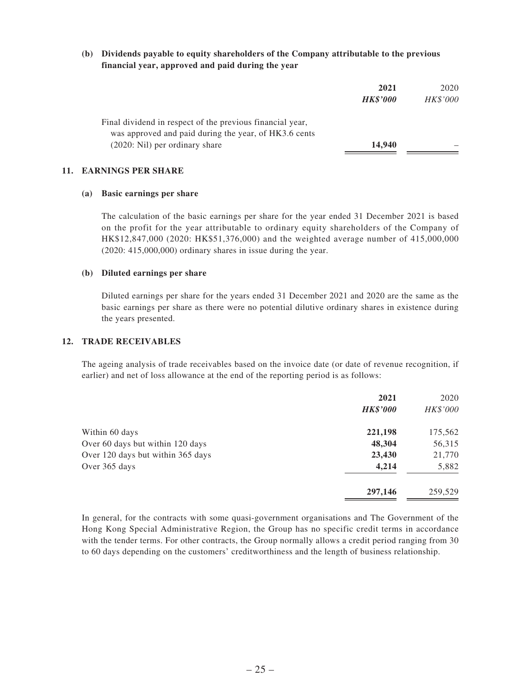### **(b) Dividends payable to equity shareholders of the Company attributable to the previous financial year, approved and paid during the year**

|                                                           | 2021            | 2020     |
|-----------------------------------------------------------|-----------------|----------|
|                                                           | <b>HK\$'000</b> | HK\$'000 |
| Final dividend in respect of the previous financial year, |                 |          |
| was approved and paid during the year, of HK3.6 cents     |                 |          |
| (2020: Nil) per ordinary share                            | 14,940          |          |

#### **11. EARNINGS PER SHARE**

#### **(a) Basic earnings per share**

The calculation of the basic earnings per share for the year ended 31 December 2021 is based on the profit for the year attributable to ordinary equity shareholders of the Company of HK\$12,847,000 (2020: HK\$51,376,000) and the weighted average number of 415,000,000 (2020: 415,000,000) ordinary shares in issue during the year.

#### **(b) Diluted earnings per share**

Diluted earnings per share for the years ended 31 December 2021 and 2020 are the same as the basic earnings per share as there were no potential dilutive ordinary shares in existence during the years presented.

### **12. TRADE RECEIVABLES**

The ageing analysis of trade receivables based on the invoice date (or date of revenue recognition, if earlier) and net of loss allowance at the end of the reporting period is as follows:

|                                   | 2021<br><b>HK\$'000</b> | 2020<br>HK\$'000 |
|-----------------------------------|-------------------------|------------------|
| Within 60 days                    | 221,198                 | 175,562          |
| Over 60 days but within 120 days  | 48,304                  | 56,315           |
| Over 120 days but within 365 days | 23,430                  | 21,770           |
| Over 365 days                     | 4,214                   | 5,882            |
|                                   | 297,146                 | 259,529          |

In general, for the contracts with some quasi-government organisations and The Government of the Hong Kong Special Administrative Region, the Group has no specific credit terms in accordance with the tender terms. For other contracts, the Group normally allows a credit period ranging from 30 to 60 days depending on the customers' creditworthiness and the length of business relationship.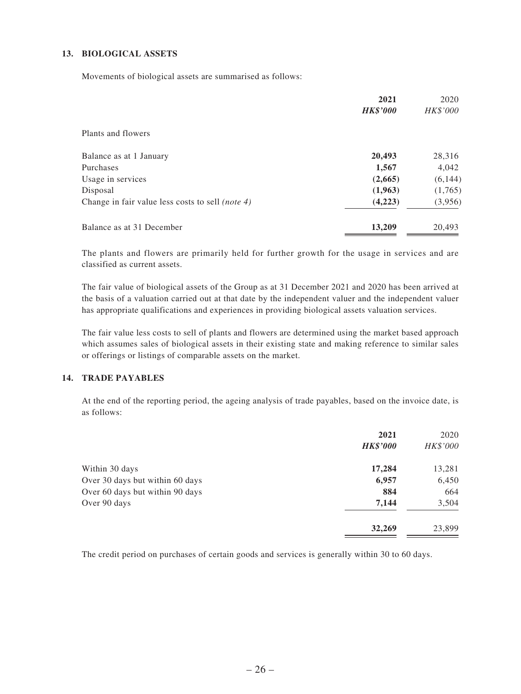### **13. BIOLOGICAL ASSETS**

Movements of biological assets are summarised as follows:

|                                                         | 2021            | 2020     |
|---------------------------------------------------------|-----------------|----------|
|                                                         | <b>HK\$'000</b> | HK\$'000 |
| Plants and flowers                                      |                 |          |
| Balance as at 1 January                                 | 20,493          | 28,316   |
| Purchases                                               | 1,567           | 4,042    |
| Usage in services                                       | (2,665)         | (6, 144) |
| Disposal                                                | (1,963)         | (1,765)  |
| Change in fair value less costs to sell <i>(note 4)</i> | (4,223)         | (3,956)  |
| Balance as at 31 December                               | 13,209          | 20,493   |

The plants and flowers are primarily held for further growth for the usage in services and are classified as current assets.

The fair value of biological assets of the Group as at 31 December 2021 and 2020 has been arrived at the basis of a valuation carried out at that date by the independent valuer and the independent valuer has appropriate qualifications and experiences in providing biological assets valuation services.

The fair value less costs to sell of plants and flowers are determined using the market based approach which assumes sales of biological assets in their existing state and making reference to similar sales or offerings or listings of comparable assets on the market.

#### **14. TRADE PAYABLES**

At the end of the reporting period, the ageing analysis of trade payables, based on the invoice date, is as follows:

|                                 | 2021<br><b>HK\$'000</b> | 2020<br>HK\$'000 |
|---------------------------------|-------------------------|------------------|
| Within 30 days                  | 17,284                  | 13,281           |
| Over 30 days but within 60 days | 6,957                   | 6,450            |
| Over 60 days but within 90 days | 884                     | 664              |
| Over 90 days                    | 7,144                   | 3,504            |
|                                 | 32,269                  | 23,899           |

The credit period on purchases of certain goods and services is generally within 30 to 60 days.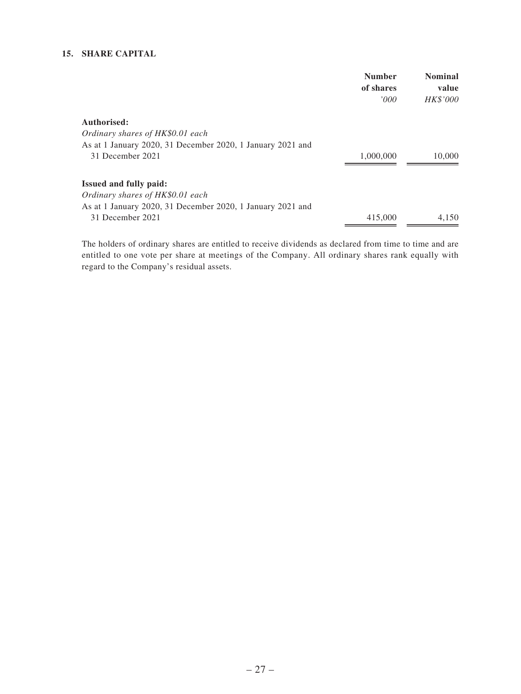### **15. SHARE CAPITAL**

|                                                            | <b>Number</b><br>of shares | <b>Nominal</b><br>value |
|------------------------------------------------------------|----------------------------|-------------------------|
|                                                            | '000'                      | <i>HK\$'000</i>         |
| Authorised:                                                |                            |                         |
| Ordinary shares of HK\$0.01 each                           |                            |                         |
| As at 1 January 2020, 31 December 2020, 1 January 2021 and |                            |                         |
| 31 December 2021                                           | 1,000,000                  | 10,000                  |
|                                                            |                            |                         |
| <b>Issued and fully paid:</b>                              |                            |                         |
| Ordinary shares of HK\$0.01 each                           |                            |                         |
| As at 1 January 2020, 31 December 2020, 1 January 2021 and |                            |                         |
| 31 December 2021                                           | 415,000                    | 4.150                   |

The holders of ordinary shares are entitled to receive dividends as declared from time to time and are entitled to one vote per share at meetings of the Company. All ordinary shares rank equally with regard to the Company's residual assets.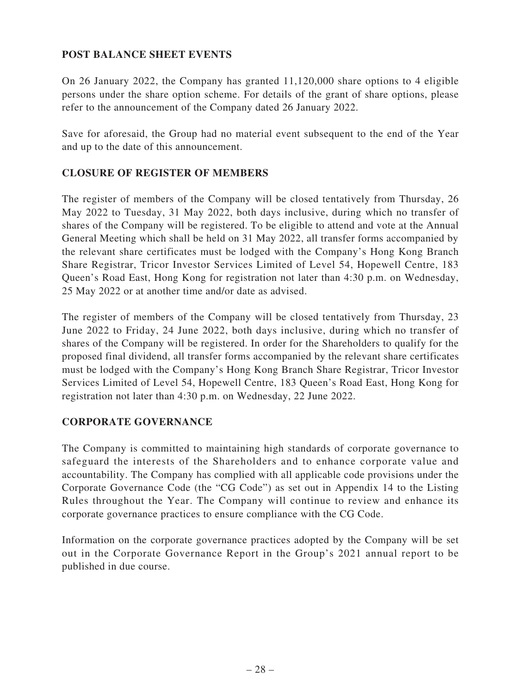## **POST BALANCE SHEET EVENTS**

On 26 January 2022, the Company has granted 11,120,000 share options to 4 eligible persons under the share option scheme. For details of the grant of share options, please refer to the announcement of the Company dated 26 January 2022.

Save for aforesaid, the Group had no material event subsequent to the end of the Year and up to the date of this announcement.

## **CLOSURE OF REGISTER OF MEMBERS**

The register of members of the Company will be closed tentatively from Thursday, 26 May 2022 to Tuesday, 31 May 2022, both days inclusive, during which no transfer of shares of the Company will be registered. To be eligible to attend and vote at the Annual General Meeting which shall be held on 31 May 2022, all transfer forms accompanied by the relevant share certificates must be lodged with the Company's Hong Kong Branch Share Registrar, Tricor Investor Services Limited of Level 54, Hopewell Centre, 183 Queen's Road East, Hong Kong for registration not later than 4:30 p.m. on Wednesday, 25 May 2022 or at another time and/or date as advised.

The register of members of the Company will be closed tentatively from Thursday, 23 June 2022 to Friday, 24 June 2022, both days inclusive, during which no transfer of shares of the Company will be registered. In order for the Shareholders to qualify for the proposed final dividend, all transfer forms accompanied by the relevant share certificates must be lodged with the Company's Hong Kong Branch Share Registrar, Tricor Investor Services Limited of Level 54, Hopewell Centre, 183 Queen's Road East, Hong Kong for registration not later than 4:30 p.m. on Wednesday, 22 June 2022.

## **CORPORATE GOVERNANCE**

The Company is committed to maintaining high standards of corporate governance to safeguard the interests of the Shareholders and to enhance corporate value and accountability. The Company has complied with all applicable code provisions under the Corporate Governance Code (the "CG Code") as set out in Appendix 14 to the Listing Rules throughout the Year. The Company will continue to review and enhance its corporate governance practices to ensure compliance with the CG Code.

Information on the corporate governance practices adopted by the Company will be set out in the Corporate Governance Report in the Group's 2021 annual report to be published in due course.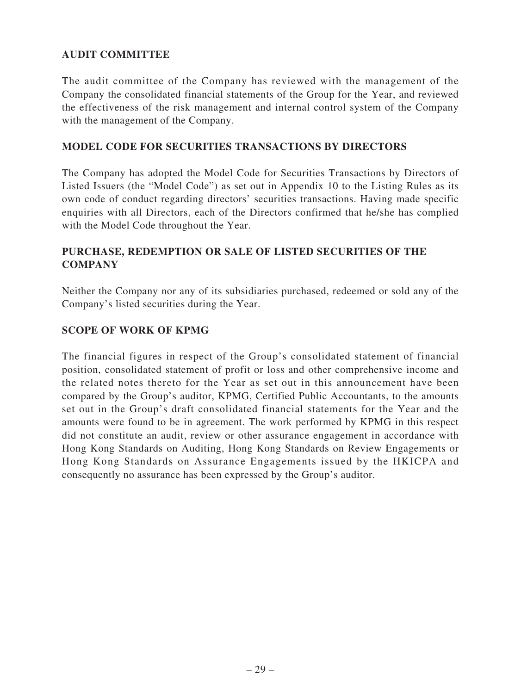# **AUDIT COMMITTEE**

The audit committee of the Company has reviewed with the management of the Company the consolidated financial statements of the Group for the Year, and reviewed the effectiveness of the risk management and internal control system of the Company with the management of the Company.

### **MODEL CODE FOR SECURITIES TRANSACTIONS BY DIRECTORS**

The Company has adopted the Model Code for Securities Transactions by Directors of Listed Issuers (the "Model Code") as set out in Appendix 10 to the Listing Rules as its own code of conduct regarding directors' securities transactions. Having made specific enquiries with all Directors, each of the Directors confirmed that he/she has complied with the Model Code throughout the Year.

## **PURCHASE, REDEMPTION OR SALE OF LISTED SECURITIES OF THE COMPANY**

Neither the Company nor any of its subsidiaries purchased, redeemed or sold any of the Company's listed securities during the Year.

## **SCOPE OF WORK OF KPMG**

The financial figures in respect of the Group's consolidated statement of financial position, consolidated statement of profit or loss and other comprehensive income and the related notes thereto for the Year as set out in this announcement have been compared by the Group's auditor, KPMG, Certified Public Accountants, to the amounts set out in the Group's draft consolidated financial statements for the Year and the amounts were found to be in agreement. The work performed by KPMG in this respect did not constitute an audit, review or other assurance engagement in accordance with Hong Kong Standards on Auditing, Hong Kong Standards on Review Engagements or Hong Kong Standards on Assurance Engagements issued by the HKICPA and consequently no assurance has been expressed by the Group's auditor.